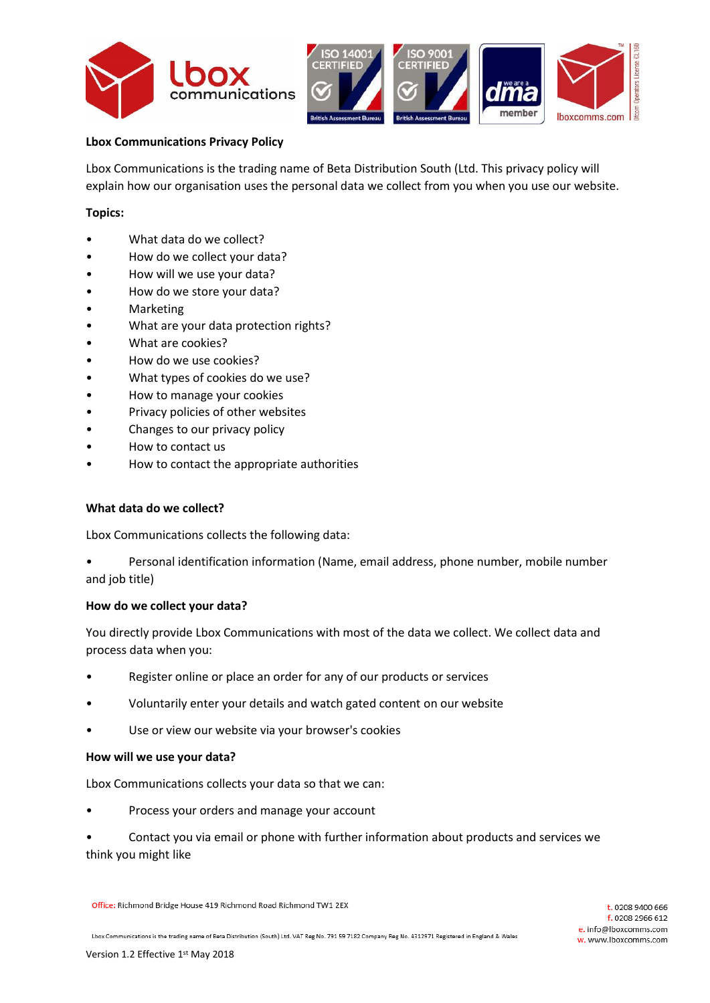



# **Lbox Communications Privacy Policy**

Lbox Communications is the trading name of Beta Distribution South (Ltd. This privacy policy will explain how our organisation uses the personal data we collect from you when you use our website.

#### **Topics:**

- What data do we collect?
- How do we collect your data?
- How will we use your data?
- How do we store your data?
- Marketing
- What are your data protection rights?
- What are cookies?
- How do we use cookies?
- What types of cookies do we use?
- How to manage your cookies
- Privacy policies of other websites
- Changes to our privacy policy
- How to contact us
- How to contact the appropriate authorities

## **What data do we collect?**

Lbox Communications collects the following data:

• Personal identification information (Name, email address, phone number, mobile number and job title)

#### **How do we collect your data?**

You directly provide Lbox Communications with most of the data we collect. We collect data and process data when you:

- Register online or place an order for any of our products or services
- Voluntarily enter your details and watch gated content on our website
- Use or view our website via your browser's cookies

#### **How will we use your data?**

Lbox Communications collects your data so that we can:

• Process your orders and manage your account

• Contact you via email or phone with further information about products and services we think you might like

Office: Richmond Bridge House 419 Richmond Road Richmond TW1 2EX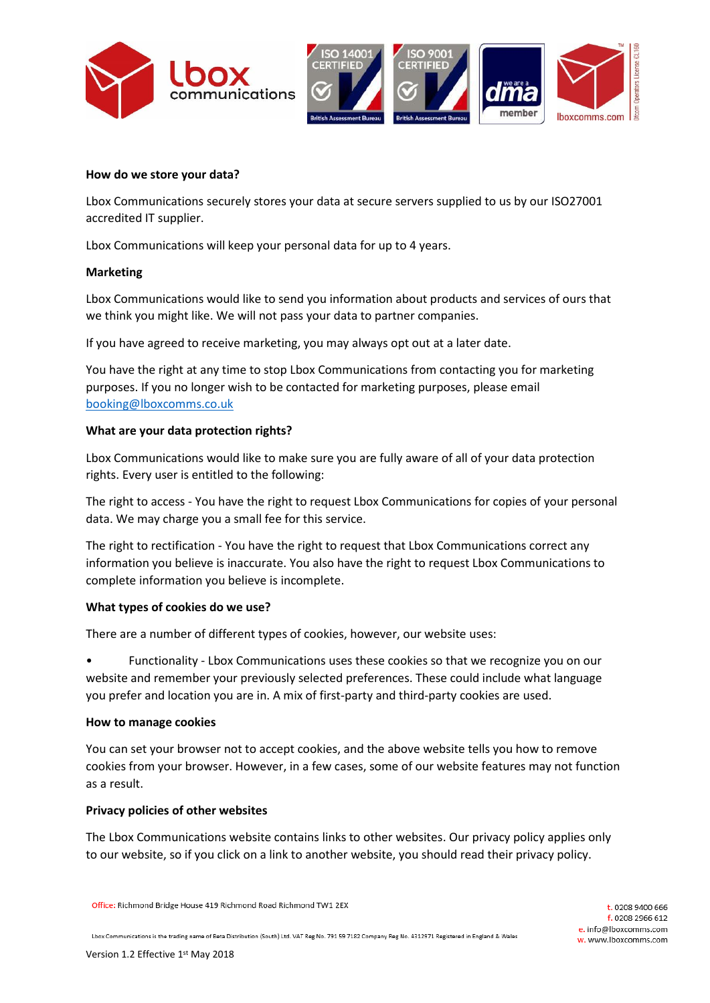



## **How do we store your data?**

Lbox Communications securely stores your data at secure servers supplied to us by our ISO27001 accredited IT supplier.

Lbox Communications will keep your personal data for up to 4 years.

## **Marketing**

Lbox Communications would like to send you information about products and services of ours that we think you might like. We will not pass your data to partner companies.

If you have agreed to receive marketing, you may always opt out at a later date.

You have the right at any time to stop Lbox Communications from contacting you for marketing purposes. If you no longer wish to be contacted for marketing purposes, please email [booking@lboxcomms.co.uk](mailto:booking@lboxcomms.co.uk) 

## **What are your data protection rights?**

Lbox Communications would like to make sure you are fully aware of all of your data protection rights. Every user is entitled to the following:

The right to access - You have the right to request Lbox Communications for copies of your personal data. We may charge you a small fee for this service.

The right to rectification - You have the right to request that Lbox Communications correct any information you believe is inaccurate. You also have the right to request Lbox Communications to complete information you believe is incomplete.

## **What types of cookies do we use?**

There are a number of different types of cookies, however, our website uses:

• Functionality - Lbox Communications uses these cookies so that we recognize you on our website and remember your previously selected preferences. These could include what language you prefer and location you are in. A mix of first-party and third-party cookies are used.

## **How to manage cookies**

You can set your browser not to accept cookies, and the above website tells you how to remove cookies from your browser. However, in a few cases, some of our website features may not function as a result.

## **Privacy policies of other websites**

The Lbox Communications website contains links to other websites. Our privacy policy applies only to our website, so if you click on a link to another website, you should read their privacy policy.

Office: Richmond Bridge House 419 Richmond Road Richmond TW1 2EX

Lbox Communications is the trading name of Beta Distribution (South) Ltd. VAT Reg No. 791 59 7182 Company Reg No. 4312971 Registered in England & Wales